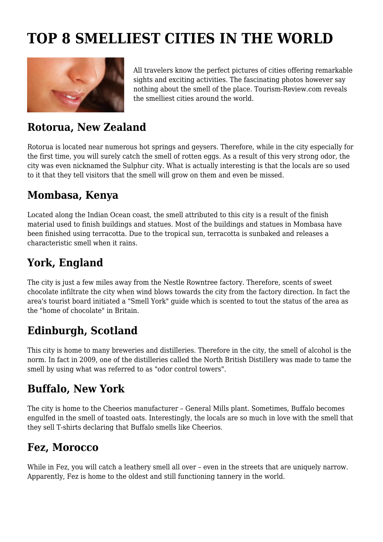# **TOP 8 SMELLIEST CITIES IN THE WORLD**



All travelers know the perfect pictures of cities offering remarkable sights and exciting activities. The fascinating photos however say nothing about the smell of the place. Tourism-Review.com reveals the smelliest cities around the world.

#### **Rotorua, New Zealand**

Rotorua is located near numerous hot springs and geysers. Therefore, while in the city especially for the first time, you will surely catch the smell of rotten eggs. As a result of this very strong odor, the city was even nicknamed the Sulphur city. What is actually interesting is that the locals are so used to it that they tell visitors that the smell will grow on them and even be missed.

#### **Mombasa, Kenya**

Located along the Indian Ocean coast, the smell attributed to this city is a result of the finish material used to finish buildings and statues. Most of the buildings and statues in Mombasa have been finished using terracotta. Due to the tropical sun, terracotta is sunbaked and releases a characteristic smell when it rains.

## **York, England**

The city is just a few miles away from the Nestle Rowntree factory. Therefore, scents of sweet chocolate infiltrate the city when wind blows towards the city from the factory direction. In fact the area's tourist board initiated a "Smell York" guide which is scented to tout the status of the area as the "home of chocolate" in Britain.

## **Edinburgh, Scotland**

This city is home to many breweries and distilleries. Therefore in the city, the smell of alcohol is the norm. In fact in 2009, one of the distilleries called the North British Distillery was made to tame the smell by using what was referred to as "odor control towers".

#### **Buffalo, New York**

The city is home to the Cheerios manufacturer – General Mills plant. Sometimes, Buffalo becomes engulfed in the smell of toasted oats. Interestingly, the locals are so much in love with the smell that they sell T-shirts declaring that Buffalo smells like Cheerios.

#### **Fez, Morocco**

While in Fez, you will catch a leathery smell all over – even in the streets that are uniquely narrow. Apparently, Fez is home to the oldest and still functioning tannery in the world.